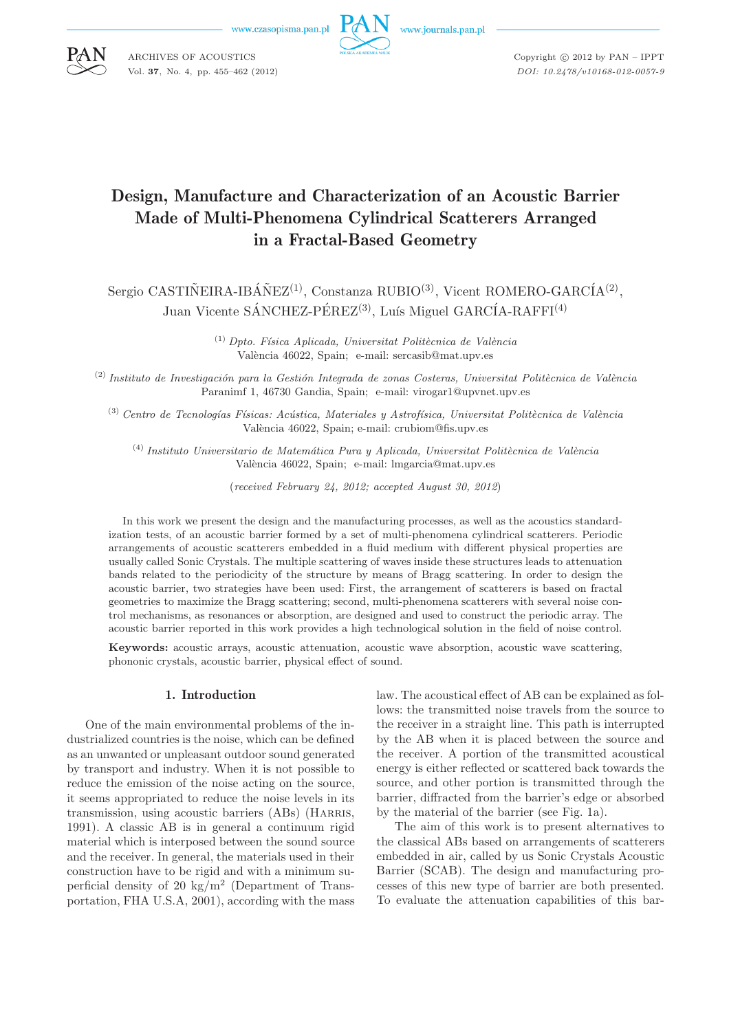www.czasopisma.pan.pl



www.journals.pan.pl

Copyright  $\odot$  2012 by PAN - IPPT *DOI: 10.2478/v10168-012-0057-9*

# Design, Manufacture and Characterization of an Acoustic Barrier Made of Multi-Phenomena Cylindrical Scatterers Arranged in a Fractal-Based Geometry

Sergio CASTIÑEIRA-IBÁÑEZ<sup>(1)</sup>, Constanza RUBIO<sup>(3)</sup>, Vicent ROMERO-GARCÍA<sup>(2)</sup>, Juan Vicente SÁNCHEZ-PÉREZ<sup>(3)</sup>, Luís Miguel GARCÍA-RAFFI<sup>(4)</sup>

> (1) *Dpto. F´ısica Aplicada, Universitat Polit`ecnica de Val`encia* Val`encia 46022, Spain; e-mail: sercasib@mat.upv.es

(2) *Instituto de Investigación para la Gestión Integrada de zonas Costeras, Universitat Polit`ecnica de Val`encia* Paranimf 1, 46730 Gandia, Spain; e-mail: virogar1@upvnet.upv.es

<sup>(3)</sup> Centro de Tecnologías Físicas: Acústica, Materiales y Astrofísica, Universitat Politècnica de València València 46022, Spain; e-mail: crubiom@fis.upv.es

(4) *Instituto Universitario de Matem´atica Pura y Aplicada, Universitat Polit`ecnica de Val`encia* València 46022, Spain; e-mail: lmgarcia@mat.upv.es

(*received February 24, 2012; accepted August 30, 2012*)

In this work we present the design and the manufacturing processes, as well as the acoustics standardization tests, of an acoustic barrier formed by a set of multi-phenomena cylindrical scatterers. Periodic arrangements of acoustic scatterers embedded in a fluid medium with different physical properties are usually called Sonic Crystals. The multiple scattering of waves inside these structures leads to attenuation bands related to the periodicity of the structure by means of Bragg scattering. In order to design the acoustic barrier, two strategies have been used: First, the arrangement of scatterers is based on fractal geometries to maximize the Bragg scattering; second, multi-phenomena scatterers with several noise control mechanisms, as resonances or absorption, are designed and used to construct the periodic array. The acoustic barrier reported in this work provides a high technological solution in the field of noise control.

**Keywords:** acoustic arrays, acoustic attenuation, acoustic wave absorption, acoustic wave scattering, phononic crystals, acoustic barrier, physical effect of sound.

#### 1. Introduction

One of the main environmental problems of the industrialized countries is the noise, which can be defined as an unwanted or unpleasant outdoor sound generated by transport and industry. When it is not possible to reduce the emission of the noise acting on the source, it seems appropriated to reduce the noise levels in its transmission, using acoustic barriers (ABs) (HARRIS, 1991). A classic AB is in general a continuum rigid material which is interposed between the sound source and the receiver. In general, the materials used in their construction have to be rigid and with a minimum superficial density of 20  $\text{kg/m}^2$  (Department of Transportation, FHA U.S.A, 2001), according with the mass law. The acoustical effect of AB can be explained as follows: the transmitted noise travels from the source to the receiver in a straight line. This path is interrupted by the AB when it is placed between the source and the receiver. A portion of the transmitted acoustical energy is either reflected or scattered back towards the source, and other portion is transmitted through the barrier, diffracted from the barrier's edge or absorbed by the material of the barrier (see Fig. 1a).

The aim of this work is to present alternatives to the classical ABs based on arrangements of scatterers embedded in air, called by us Sonic Crystals Acoustic Barrier (SCAB). The design and manufacturing processes of this new type of barrier are both presented. To evaluate the attenuation capabilities of this bar-



ARCHIVES OF ACOUSTICS Vol. **37**, No. 4, pp. 455–462 (2012)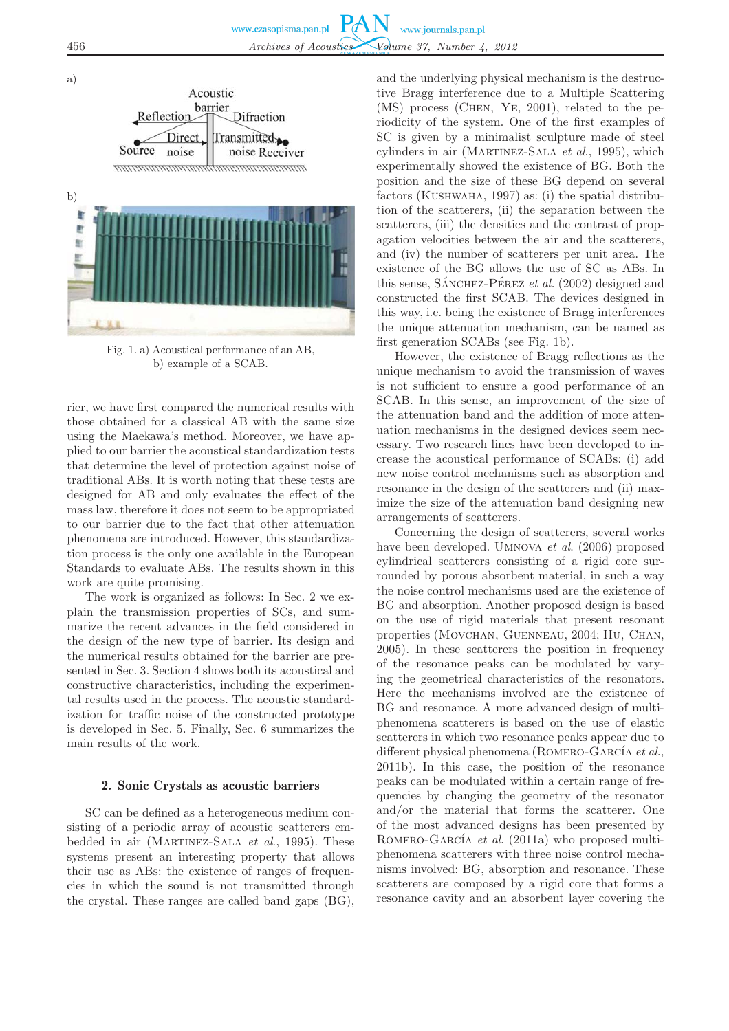

Fig. 1. a) Acoustical performance of an AB, b) example of a SCAB.

rier, we have first compared the numerical results with those obtained for a classical AB with the same size using the Maekawa's method. Moreover, we have applied to our barrier the acoustical standardization tests that determine the level of protection against noise of traditional ABs. It is worth noting that these tests are designed for AB and only evaluates the effect of the mass law, therefore it does not seem to be appropriated to our barrier due to the fact that other attenuation phenomena are introduced. However, this standardization process is the only one available in the European Standards to evaluate ABs. The results shown in this work are quite promising.

The work is organized as follows: In Sec. 2 we explain the transmission properties of SCs, and summarize the recent advances in the field considered in the design of the new type of barrier. Its design and the numerical results obtained for the barrier are presented in Sec. 3. Section 4 shows both its acoustical and constructive characteristics, including the experimental results used in the process. The acoustic standardization for traffic noise of the constructed prototype is developed in Sec. 5. Finally, Sec. 6 summarizes the main results of the work.

### 2. Sonic Crystals as acoustic barriers

SC can be defined as a heterogeneous medium consisting of a periodic array of acoustic scatterers embedded in air (Martinez-Sala *et al*., 1995). These systems present an interesting property that allows their use as ABs: the existence of ranges of frequencies in which the sound is not transmitted through the crystal. These ranges are called band gaps (BG),

and the underlying physical mechanism is the destructive Bragg interference due to a Multiple Scattering (MS) process (Chen, Ye, 2001), related to the periodicity of the system. One of the first examples of SC is given by a minimalist sculpture made of steel cylinders in air (Martinez-Sala *et al*., 1995), which experimentally showed the existence of BG. Both the position and the size of these BG depend on several factors (Kushwaha, 1997) as: (i) the spatial distribution of the scatterers, (ii) the separation between the scatterers, (iii) the densities and the contrast of propagation velocities between the air and the scatterers, and (iv) the number of scatterers per unit area. The existence of the BG allows the use of SC as ABs. In this sense, SANCHEZ-P $\acute{E}$ REZ *et al.* (2002) designed and constructed the first SCAB. The devices designed in this way, i.e. being the existence of Bragg interferences the unique attenuation mechanism, can be named as first generation SCABs (see Fig. 1b).

However, the existence of Bragg reflections as the unique mechanism to avoid the transmission of waves is not sufficient to ensure a good performance of an SCAB. In this sense, an improvement of the size of the attenuation band and the addition of more attenuation mechanisms in the designed devices seem necessary. Two research lines have been developed to increase the acoustical performance of SCABs: (i) add new noise control mechanisms such as absorption and resonance in the design of the scatterers and (ii) maximize the size of the attenuation band designing new arrangements of scatterers.

Concerning the design of scatterers, several works have been developed. Umnova *et al*. (2006) proposed cylindrical scatterers consisting of a rigid core surrounded by porous absorbent material, in such a way the noise control mechanisms used are the existence of BG and absorption. Another proposed design is based on the use of rigid materials that present resonant properties (Movchan, Guenneau, 2004; Hu, Chan, 2005). In these scatterers the position in frequency of the resonance peaks can be modulated by varying the geometrical characteristics of the resonators. Here the mechanisms involved are the existence of BG and resonance. A more advanced design of multiphenomena scatterers is based on the use of elastic scatterers in which two resonance peaks appear due to different physical phenomena (ROMERO-GARCÍA *et al.*, 2011b). In this case, the position of the resonance peaks can be modulated within a certain range of frequencies by changing the geometry of the resonator and/or the material that forms the scatterer. One of the most advanced designs has been presented by ROMERO-GARCÍA *et al.* (2011a) who proposed multiphenomena scatterers with three noise control mechanisms involved: BG, absorption and resonance. These scatterers are composed by a rigid core that forms a resonance cavity and an absorbent layer covering the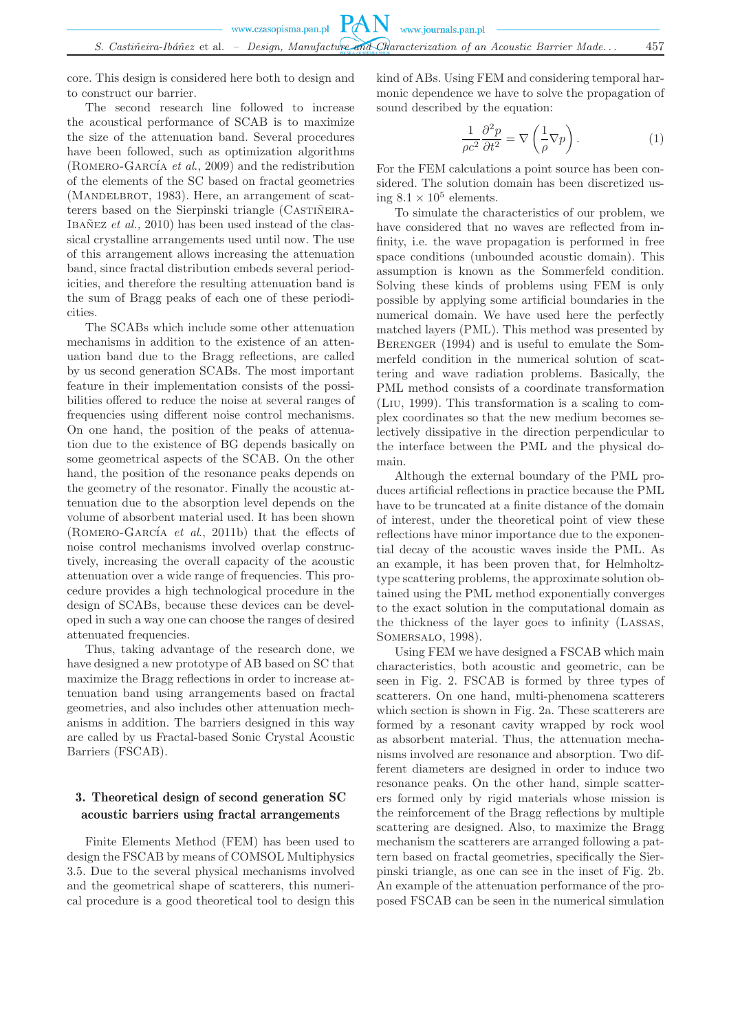core. This design is considered here both to design and to construct our barrier.

The second research line followed to increase the acoustical performance of SCAB is to maximize the size of the attenuation band. Several procedures have been followed, such as optimization algorithms (ROMERO-GARCÍA *et al.*, 2009) and the redistribution of the elements of the SC based on fractal geometries (MANDELBROT, 1983). Here, an arrangement of scatterers based on the Sierpinski triangle (CASTIÑEIRA-IBANEZ *et al.*, 2010) has been used instead of the classical crystalline arrangements used until now. The use of this arrangement allows increasing the attenuation band, since fractal distribution embeds several periodicities, and therefore the resulting attenuation band is the sum of Bragg peaks of each one of these periodicities.

The SCABs which include some other attenuation mechanisms in addition to the existence of an attenuation band due to the Bragg reflections, are called by us second generation SCABs. The most important feature in their implementation consists of the possibilities offered to reduce the noise at several ranges of frequencies using different noise control mechanisms. On one hand, the position of the peaks of attenuation due to the existence of BG depends basically on some geometrical aspects of the SCAB. On the other hand, the position of the resonance peaks depends on the geometry of the resonator. Finally the acoustic attenuation due to the absorption level depends on the volume of absorbent material used. It has been shown (ROMERO-GARCÍA *et al.*, 2011b) that the effects of noise control mechanisms involved overlap constructively, increasing the overall capacity of the acoustic attenuation over a wide range of frequencies. This procedure provides a high technological procedure in the design of SCABs, because these devices can be developed in such a way one can choose the ranges of desired attenuated frequencies.

Thus, taking advantage of the research done, we have designed a new prototype of AB based on SC that maximize the Bragg reflections in order to increase attenuation band using arrangements based on fractal geometries, and also includes other attenuation mechanisms in addition. The barriers designed in this way are called by us Fractal-based Sonic Crystal Acoustic Barriers (FSCAB).

# 3. Theoretical design of second generation SC acoustic barriers using fractal arrangements

Finite Elements Method (FEM) has been used to design the FSCAB by means of COMSOL Multiphysics 3.5. Due to the several physical mechanisms involved and the geometrical shape of scatterers, this numerical procedure is a good theoretical tool to design this

kind of ABs. Using FEM and considering temporal harmonic dependence we have to solve the propagation of sound described by the equation:

$$
\frac{1}{\rho c^2} \frac{\partial^2 p}{\partial t^2} = \nabla \left( \frac{1}{\rho} \nabla p \right). \tag{1}
$$

For the FEM calculations a point source has been considered. The solution domain has been discretized using  $8.1 \times 10^5$  elements.

To simulate the characteristics of our problem, we have considered that no waves are reflected from infinity, i.e. the wave propagation is performed in free space conditions (unbounded acoustic domain). This assumption is known as the Sommerfeld condition. Solving these kinds of problems using FEM is only possible by applying some artificial boundaries in the numerical domain. We have used here the perfectly matched layers (PML). This method was presented by Berenger (1994) and is useful to emulate the Sommerfeld condition in the numerical solution of scattering and wave radiation problems. Basically, the PML method consists of a coordinate transformation (Liu, 1999). This transformation is a scaling to complex coordinates so that the new medium becomes selectively dissipative in the direction perpendicular to the interface between the PML and the physical domain.

Although the external boundary of the PML produces artificial reflections in practice because the PML have to be truncated at a finite distance of the domain of interest, under the theoretical point of view these reflections have minor importance due to the exponential decay of the acoustic waves inside the PML. As an example, it has been proven that, for Helmholtztype scattering problems, the approximate solution obtained using the PML method exponentially converges to the exact solution in the computational domain as the thickness of the layer goes to infinity (Lassas, SOMERSALO, 1998).

Using FEM we have designed a FSCAB which main characteristics, both acoustic and geometric, can be seen in Fig. 2. FSCAB is formed by three types of scatterers. On one hand, multi-phenomena scatterers which section is shown in Fig. 2a. These scatterers are formed by a resonant cavity wrapped by rock wool as absorbent material. Thus, the attenuation mechanisms involved are resonance and absorption. Two different diameters are designed in order to induce two resonance peaks. On the other hand, simple scatterers formed only by rigid materials whose mission is the reinforcement of the Bragg reflections by multiple scattering are designed. Also, to maximize the Bragg mechanism the scatterers are arranged following a pattern based on fractal geometries, specifically the Sierpinski triangle, as one can see in the inset of Fig. 2b. An example of the attenuation performance of the proposed FSCAB can be seen in the numerical simulation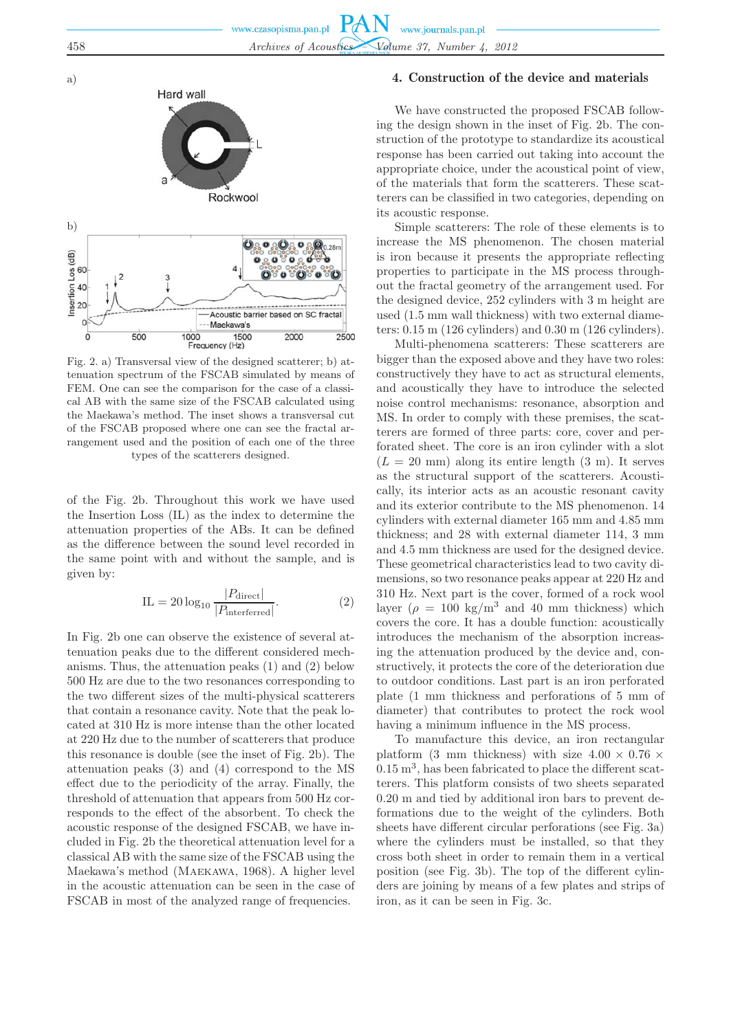

Fig. 2. a) Transversal view of the designed scatterer; b) attenuation spectrum of the FSCAB simulated by means of FEM. One can see the comparison for the case of a classical AB with the same size of the FSCAB calculated using the Maekawa's method. The inset shows a transversal cut of the FSCAB proposed where one can see the fractal arrangement used and the position of each one of the three types of the scatterers designed.

of the Fig. 2b. Throughout this work we have used the Insertion Loss (IL) as the index to determine the attenuation properties of the ABs. It can be defined as the difference between the sound level recorded in the same point with and without the sample, and is given by:

$$
IL = 20 \log_{10} \frac{|P_{\text{direct}}|}{|P_{\text{interferred}}|}.
$$
 (2)

In Fig. 2b one can observe the existence of several attenuation peaks due to the different considered mechanisms. Thus, the attenuation peaks (1) and (2) below 500 Hz are due to the two resonances corresponding to the two different sizes of the multi-physical scatterers that contain a resonance cavity. Note that the peak located at 310 Hz is more intense than the other located at 220 Hz due to the number of scatterers that produce this resonance is double (see the inset of Fig. 2b). The attenuation peaks (3) and (4) correspond to the MS effect due to the periodicity of the array. Finally, the threshold of attenuation that appears from 500 Hz corresponds to the effect of the absorbent. To check the acoustic response of the designed FSCAB, we have included in Fig. 2b the theoretical attenuation level for a classical AB with the same size of the FSCAB using the Maekawa's method (Maekawa, 1968). A higher level in the acoustic attenuation can be seen in the case of FSCAB in most of the analyzed range of frequencies.

# 4. Construction of the device and materials

We have constructed the proposed FSCAB following the design shown in the inset of Fig. 2b. The construction of the prototype to standardize its acoustical response has been carried out taking into account the appropriate choice, under the acoustical point of view, of the materials that form the scatterers. These scatterers can be classified in two categories, depending on its acoustic response.

Simple scatterers: The role of these elements is to increase the MS phenomenon. The chosen material is iron because it presents the appropriate reflecting properties to participate in the MS process throughout the fractal geometry of the arrangement used. For the designed device, 252 cylinders with 3 m height are used (1.5 mm wall thickness) with two external diameters:  $0.15 \text{ m}$  (126 cylinders) and  $0.30 \text{ m}$  (126 cylinders).

Multi-phenomena scatterers: These scatterers are bigger than the exposed above and they have two roles: constructively they have to act as structural elements, and acoustically they have to introduce the selected noise control mechanisms: resonance, absorption and MS. In order to comply with these premises, the scatterers are formed of three parts: core, cover and perforated sheet. The core is an iron cylinder with a slot  $(L = 20$  mm) along its entire length  $(3 \text{ m})$ . It serves as the structural support of the scatterers. Acoustically, its interior acts as an acoustic resonant cavity and its exterior contribute to the MS phenomenon. 14 cylinders with external diameter 165 mm and 4.85 mm thickness; and 28 with external diameter 114, 3 mm and 4.5 mm thickness are used for the designed device. These geometrical characteristics lead to two cavity dimensions, so two resonance peaks appear at 220 Hz and 310 Hz. Next part is the cover, formed of a rock wool layer ( $\rho = 100 \text{ kg/m}^3$  and 40 mm thickness) which covers the core. It has a double function: acoustically introduces the mechanism of the absorption increasing the attenuation produced by the device and, constructively, it protects the core of the deterioration due to outdoor conditions. Last part is an iron perforated plate (1 mm thickness and perforations of 5 mm of diameter) that contributes to protect the rock wool having a minimum influence in the MS process.

To manufacture this device, an iron rectangular platform (3 mm thickness) with size  $4.00 \times 0.76 \times$  $0.15 \text{ m}^3$ , has been fabricated to place the different scatterers. This platform consists of two sheets separated 0.20 m and tied by additional iron bars to prevent deformations due to the weight of the cylinders. Both sheets have different circular perforations (see Fig. 3a) where the cylinders must be installed, so that they cross both sheet in order to remain them in a vertical position (see Fig. 3b). The top of the different cylinders are joining by means of a few plates and strips of iron, as it can be seen in Fig. 3c.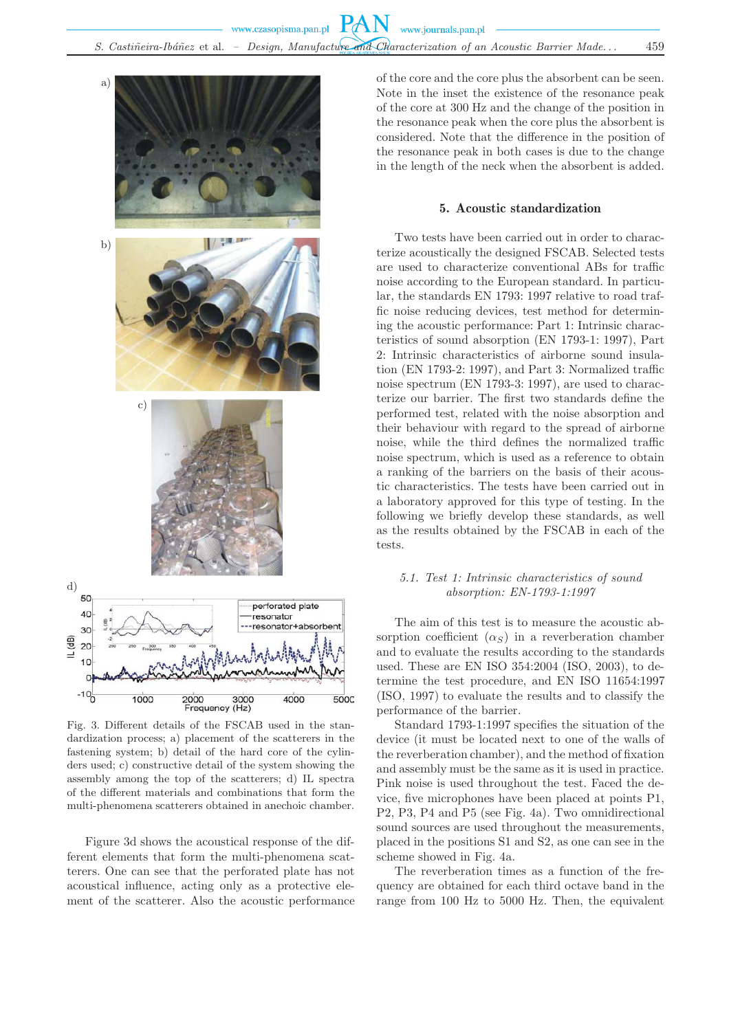

Fig. 3. Different details of the FSCAB used in the standardization process; a) placement of the scatterers in the fastening system; b) detail of the hard core of the cylinders used; c) constructive detail of the system showing the assembly among the top of the scatterers; d) IL spectra of the different materials and combinations that form the multi-phenomena scatterers obtained in anechoic chamber.

Figure 3d shows the acoustical response of the different elements that form the multi-phenomena scatterers. One can see that the perforated plate has not acoustical influence, acting only as a protective element of the scatterer. Also the acoustic performance of the core and the core plus the absorbent can be seen. Note in the inset the existence of the resonance peak of the core at 300 Hz and the change of the position in the resonance peak when the core plus the absorbent is considered. Note that the difference in the position of the resonance peak in both cases is due to the change in the length of the neck when the absorbent is added.

### 5. Acoustic standardization

Two tests have been carried out in order to characterize acoustically the designed FSCAB. Selected tests are used to characterize conventional ABs for traffic noise according to the European standard. In particular, the standards EN 1793: 1997 relative to road traffic noise reducing devices, test method for determining the acoustic performance: Part 1: Intrinsic characteristics of sound absorption (EN 1793-1: 1997), Part 2: Intrinsic characteristics of airborne sound insulation (EN 1793-2: 1997), and Part 3: Normalized traffic noise spectrum (EN 1793-3: 1997), are used to characterize our barrier. The first two standards define the performed test, related with the noise absorption and their behaviour with regard to the spread of airborne noise, while the third defines the normalized traffic noise spectrum, which is used as a reference to obtain a ranking of the barriers on the basis of their acoustic characteristics. The tests have been carried out in a laboratory approved for this type of testing. In the following we briefly develop these standards, as well as the results obtained by the FSCAB in each of the tests.

### *5.1. Test 1: Intrinsic characteristics of sound absorption: EN-1793-1:1997*

The aim of this test is to measure the acoustic absorption coefficient  $(\alpha_S)$  in a reverberation chamber and to evaluate the results according to the standards used. These are EN ISO 354:2004 (ISO, 2003), to determine the test procedure, and EN ISO 11654:1997 (ISO, 1997) to evaluate the results and to classify the performance of the barrier.

Standard 1793-1:1997 specifies the situation of the device (it must be located next to one of the walls of the reverberation chamber), and the method of fixation and assembly must be the same as it is used in practice. Pink noise is used throughout the test. Faced the device, five microphones have been placed at points P1, P2, P3, P4 and P5 (see Fig. 4a). Two omnidirectional sound sources are used throughout the measurements, placed in the positions S1 and S2, as one can see in the scheme showed in Fig. 4a.

The reverberation times as a function of the frequency are obtained for each third octave band in the range from 100 Hz to 5000 Hz. Then, the equivalent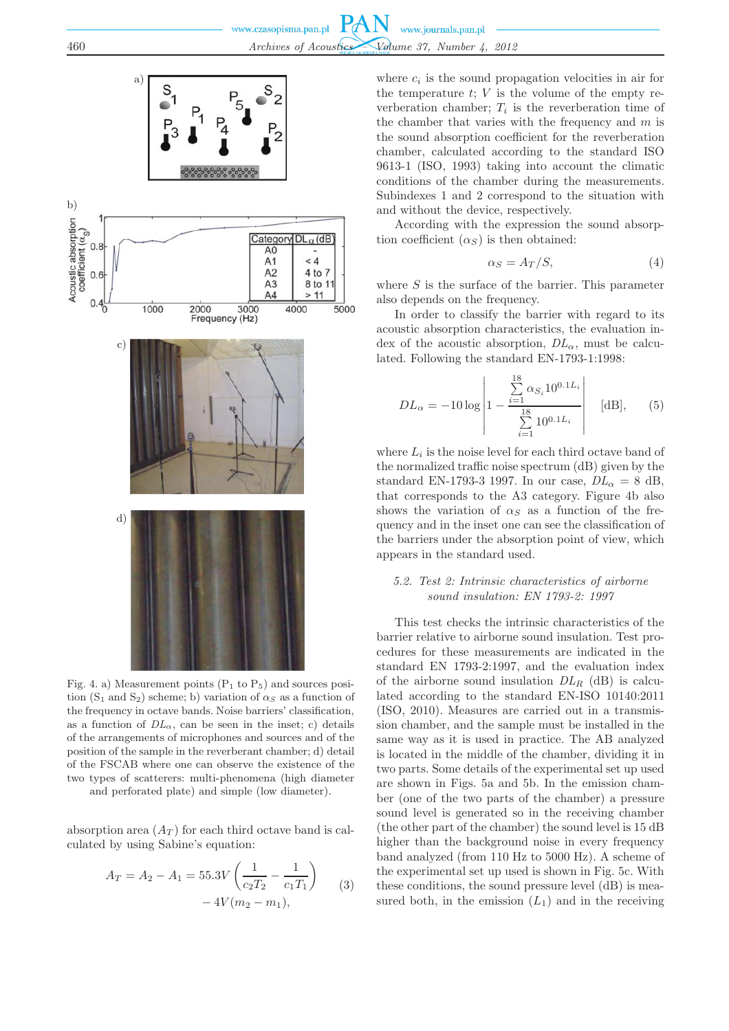

Fig. 4. a) Measurement points  $(P_1$  to  $P_5$ ) and sources position  $(S_1 \text{ and } S_2)$  scheme; b) variation of  $\alpha_S$  as a function of the frequency in octave bands. Noise barriers' classification, as a function of  $DL_{\alpha}$ , can be seen in the inset; c) details of the arrangements of microphones and sources and of the position of the sample in the reverberant chamber; d) detail of the FSCAB where one can observe the existence of the two types of scatterers: multi-phenomena (high diameter and perforated plate) and simple (low diameter).

absorption area  $(A_T)$  for each third octave band is calculated by using Sabine's equation:

$$
A_T = A_2 - A_1 = 55.3V \left(\frac{1}{c_2 T_2} - \frac{1}{c_1 T_1}\right) - 4V(m_2 - m_1),
$$
\n(3)

where  $c_i$  is the sound propagation velocities in air for the temperature  $t$ ;  $V$  is the volume of the empty reverberation chamber;  $T_i$  is the reverberation time of the chamber that varies with the frequency and  $m$  is the sound absorption coefficient for the reverberation chamber, calculated according to the standard ISO 9613-1 (ISO, 1993) taking into account the climatic conditions of the chamber during the measurements. Subindexes 1 and 2 correspond to the situation with and without the device, respectively.

According with the expression the sound absorption coefficient  $(\alpha_S)$  is then obtained:

$$
\alpha_S = A_T/S,\tag{4}
$$

where  $S$  is the surface of the barrier. This parameter also depends on the frequency.

In order to classify the barrier with regard to its acoustic absorption characteristics, the evaluation index of the acoustic absorption,  $DL_{\alpha}$ , must be calculated. Following the standard EN-1793-1:1998:

$$
DL_{\alpha} = -10 \log \left| 1 - \frac{\sum_{i=1}^{18} \alpha_{S_i} 10^{0.1 L_i}}{\sum_{i=1}^{18} 10^{0.1 L_i}} \right| \quad [\text{dB}], \quad (5)
$$

where  $L_i$  is the noise level for each third octave band of the normalized traffic noise spectrum (dB) given by the standard EN-1793-3 1997. In our case,  $DL_{\alpha} = 8$  dB, that corresponds to the A3 category. Figure 4b also shows the variation of  $\alpha_S$  as a function of the frequency and in the inset one can see the classification of the barriers under the absorption point of view, which appears in the standard used.

## *5.2. Test 2: Intrinsic characteristics of airborne sound insulation: EN 1793-2: 1997*

This test checks the intrinsic characteristics of the barrier relative to airborne sound insulation. Test procedures for these measurements are indicated in the standard EN 1793-2:1997, and the evaluation index of the airborne sound insulation  $DL_R$  (dB) is calculated according to the standard EN-ISO 10140:2011 (ISO, 2010). Measures are carried out in a transmission chamber, and the sample must be installed in the same way as it is used in practice. The AB analyzed is located in the middle of the chamber, dividing it in two parts. Some details of the experimental set up used are shown in Figs. 5a and 5b. In the emission chamber (one of the two parts of the chamber) a pressure sound level is generated so in the receiving chamber (the other part of the chamber) the sound level is 15 dB higher than the background noise in every frequency band analyzed (from 110 Hz to 5000 Hz). A scheme of the experimental set up used is shown in Fig. 5c. With these conditions, the sound pressure level (dB) is measured both, in the emission  $(L_1)$  and in the receiving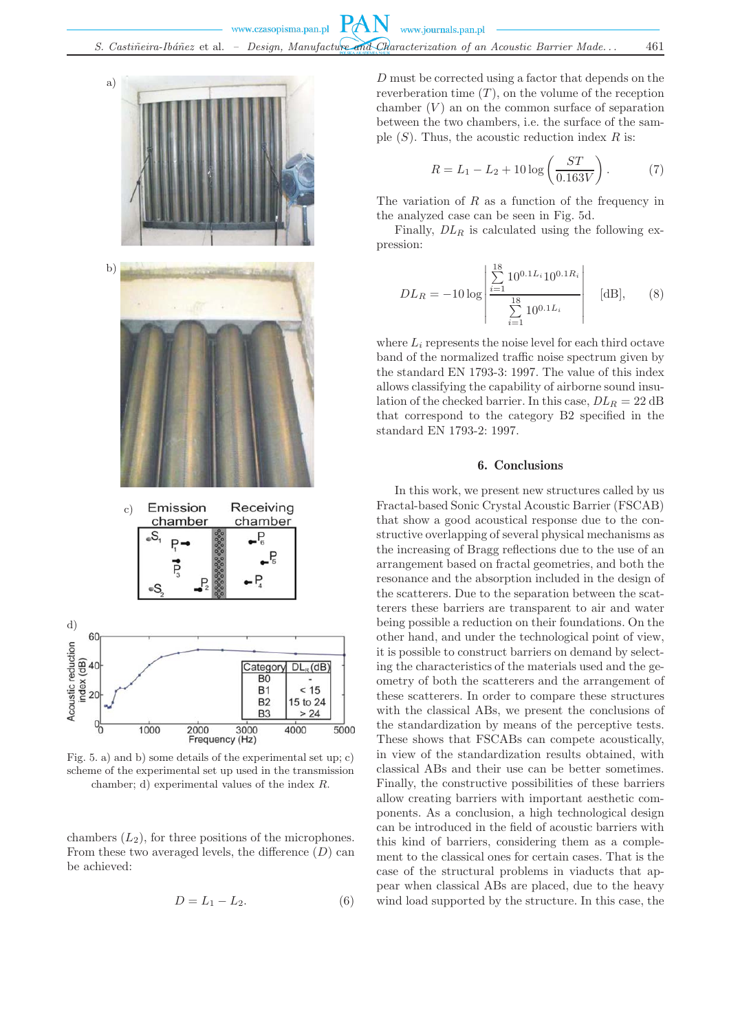

Fig. 5. a) and b) some details of the experimental set up; c) scheme of the experimental set up used in the transmission chamber; d) experimental values of the index R.

chambers  $(L_2)$ , for three positions of the microphones. From these two averaged levels, the difference  $(D)$  can be achieved:

$$
D = L_1 - L_2. \tag{6}
$$

D must be corrected using a factor that depends on the reverberation time  $(T)$ , on the volume of the reception chamber  $(V)$  an on the common surface of separation between the two chambers, i.e. the surface of the sample  $(S)$ . Thus, the acoustic reduction index R is:

$$
R = L_1 - L_2 + 10 \log \left( \frac{ST}{0.163V} \right). \tag{7}
$$

The variation of  $R$  as a function of the frequency in the analyzed case can be seen in Fig. 5d.

Finally,  $DL_R$  is calculated using the following expression:

$$
DL_R = -10 \log \left| \frac{\sum_{i=1}^{18} 10^{0.1L_i} 10^{0.1R_i}}{\sum_{i=1}^{18} 10^{0.1L_i}} \right| \quad [\text{dB}], \quad (8)
$$

where  $L_i$  represents the noise level for each third octave band of the normalized traffic noise spectrum given by the standard EN 1793-3: 1997. The value of this index allows classifying the capability of airborne sound insulation of the checked barrier. In this case,  $DL_R = 22$  dB that correspond to the category B2 specified in the standard EN 1793-2: 1997.

#### 6. Conclusions

In this work, we present new structures called by us Fractal-based Sonic Crystal Acoustic Barrier (FSCAB) that show a good acoustical response due to the constructive overlapping of several physical mechanisms as the increasing of Bragg reflections due to the use of an arrangement based on fractal geometries, and both the resonance and the absorption included in the design of the scatterers. Due to the separation between the scatterers these barriers are transparent to air and water being possible a reduction on their foundations. On the other hand, and under the technological point of view, it is possible to construct barriers on demand by selecting the characteristics of the materials used and the geometry of both the scatterers and the arrangement of these scatterers. In order to compare these structures with the classical ABs, we present the conclusions of the standardization by means of the perceptive tests. These shows that FSCABs can compete acoustically, in view of the standardization results obtained, with classical ABs and their use can be better sometimes. Finally, the constructive possibilities of these barriers allow creating barriers with important aesthetic components. As a conclusion, a high technological design can be introduced in the field of acoustic barriers with this kind of barriers, considering them as a complement to the classical ones for certain cases. That is the case of the structural problems in viaducts that appear when classical ABs are placed, due to the heavy wind load supported by the structure. In this case, the